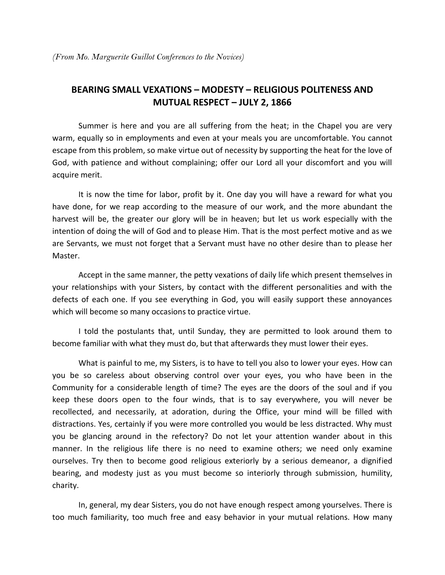## **BEARING SMALL VEXATIONS – MODESTY – RELIGIOUS POLITENESS AND MUTUAL RESPECT – JULY 2, 1866**

 Summer is here and you are all suffering from the heat; in the Chapel you are very warm, equally so in employments and even at your meals you are uncomfortable. You cannot escape from this problem, so make virtue out of necessity by supporting the heat for the love of God, with patience and without complaining; offer our Lord all your discomfort and you will acquire merit.

 It is now the time for labor, profit by it. One day you will have a reward for what you have done, for we reap according to the measure of our work, and the more abundant the harvest will be, the greater our glory will be in heaven; but let us work especially with the intention of doing the will of God and to please Him. That is the most perfect motive and as we are Servants, we must not forget that a Servant must have no other desire than to please her Master.

 Accept in the same manner, the petty vexations of daily life which present themselves in your relationships with your Sisters, by contact with the different personalities and with the defects of each one. If you see everything in God, you will easily support these annoyances which will become so many occasions to practice virtue.

 I told the postulants that, until Sunday, they are permitted to look around them to become familiar with what they must do, but that afterwards they must lower their eyes.

 What is painful to me, my Sisters, is to have to tell you also to lower your eyes. How can you be so careless about observing control over your eyes, you who have been in the Community for a considerable length of time? The eyes are the doors of the soul and if you keep these doors open to the four winds, that is to say everywhere, you will never be recollected, and necessarily, at adoration, during the Office, your mind will be filled with distractions. Yes, certainly if you were more controlled you would be less distracted. Why must you be glancing around in the refectory? Do not let your attention wander about in this manner. In the religious life there is no need to examine others; we need only examine ourselves. Try then to become good religious exteriorly by a serious demeanor, a dignified bearing, and modesty just as you must become so interiorly through submission, humility, charity.

 In, general, my dear Sisters, you do not have enough respect among yourselves. There is too much familiarity, too much free and easy behavior in your mutual relations. How many